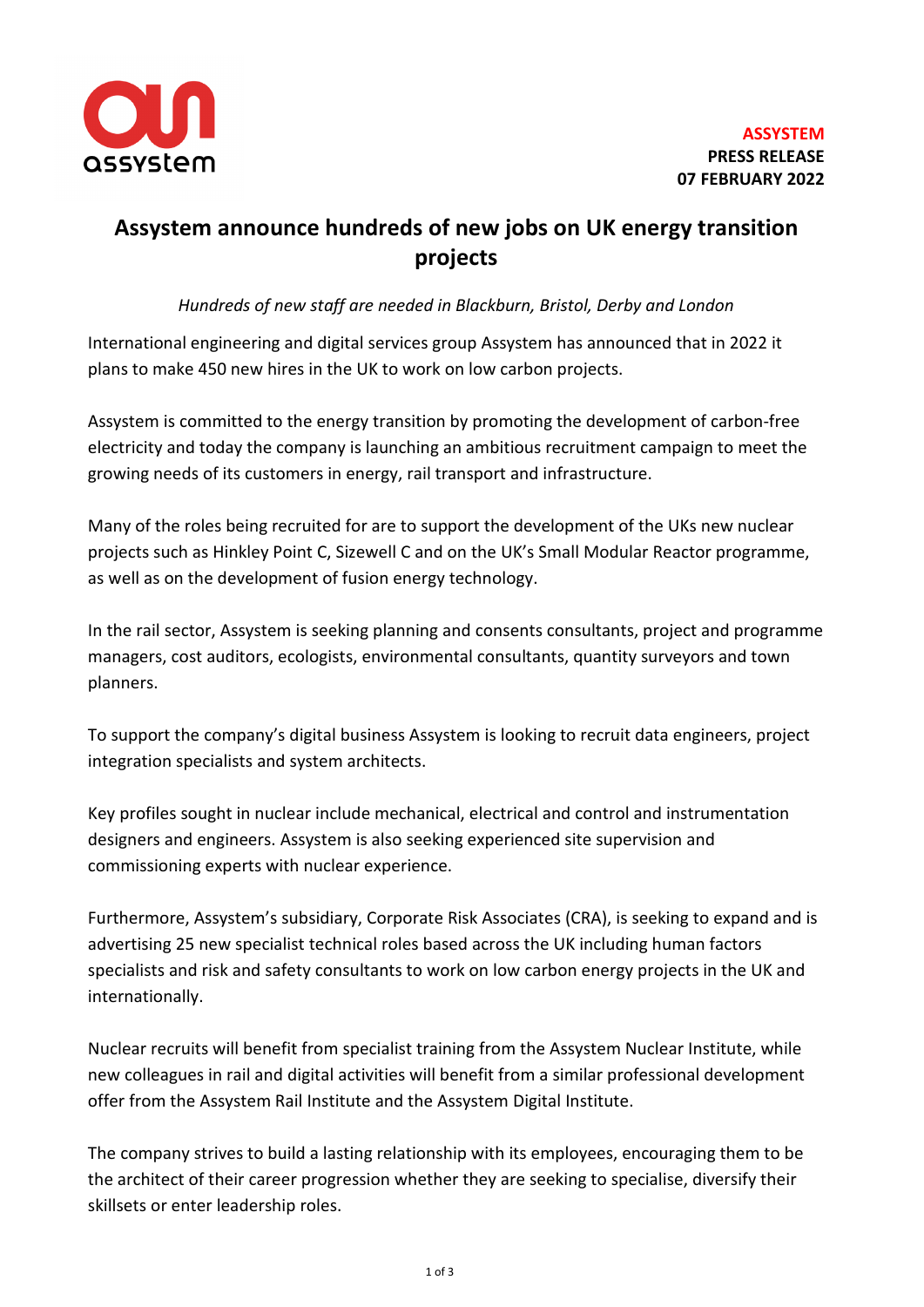

## **Assystem announce hundreds of new jobs on UK energy transition projects**

*Hundreds of new staff are needed in Blackburn, Bristol, Derby and London*

International engineering and digital services group Assystem has announced that in 2022 it plans to make 450 new hires in the UK to work on low carbon projects.

Assystem is committed to the energy transition by promoting the development of carbon-free electricity and today the company is launching an ambitious recruitment campaign to meet the growing needs of its customers in energy, rail transport and infrastructure.

Many of the roles being recruited for are to support the development of the UKs new nuclear projects such as Hinkley Point C, Sizewell C and on the UK's Small Modular Reactor programme, as well as on the development of fusion energy technology.

In the rail sector, Assystem is seeking planning and consents consultants, project and programme managers, cost auditors, ecologists, environmental consultants, quantity surveyors and town planners.

To support the company's digital business Assystem is looking to recruit data engineers, project integration specialists and system architects.

Key profiles sought in nuclear include mechanical, electrical and control and instrumentation designers and engineers. Assystem is also seeking experienced site supervision and commissioning experts with nuclear experience.

Furthermore, Assystem's subsidiary, Corporate Risk Associates (CRA), is seeking to expand and is advertising 25 new specialist technical roles based across the UK including human factors specialists and risk and safety consultants to work on low carbon energy projects in the UK and internationally.

Nuclear recruits will benefit from specialist training from the Assystem Nuclear Institute, while new colleagues in rail and digital activities will benefit from a similar professional development offer from the Assystem Rail Institute and the Assystem Digital Institute.

The company strives to build a lasting relationship with its employees, encouraging them to be the architect of their career progression whether they are seeking to specialise, diversify their skillsets or enter leadership roles.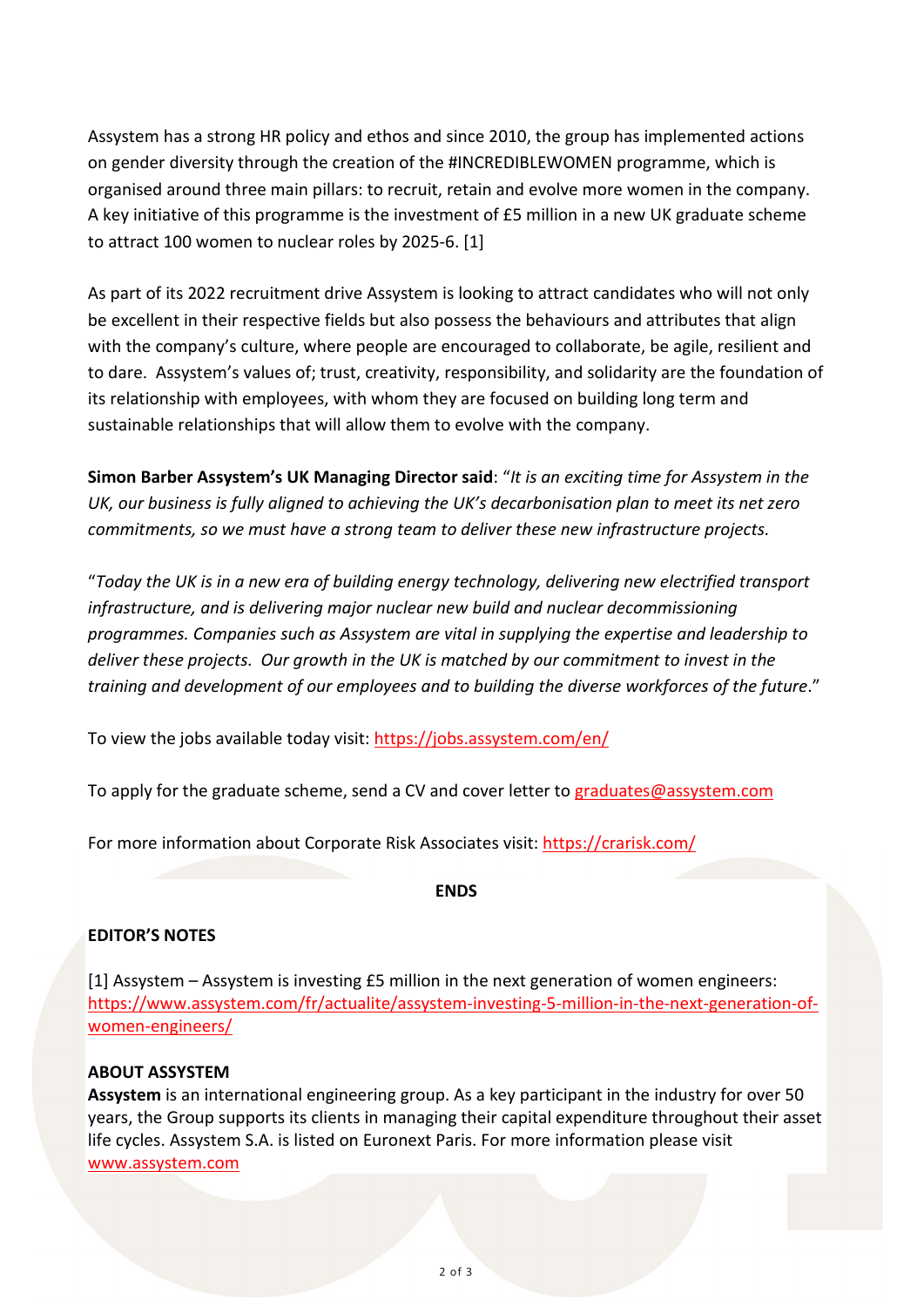Assystem has a strong HR policy and ethos and since 2010, the group has implemented actions on gender diversity through the creation of the #INCREDIBLEWOMEN programme, which is organised around three main pillars: to recruit, retain and evolve more women in the company. A key initiative of this programme is the investment of £5 million in a new UK graduate scheme to attract 100 women to nuclear roles by 2025-6. [1]

As part of its 2022 recruitment drive Assystem is looking to attract candidates who will not only be excellent in their respective fields but also possess the behaviours and attributes that align with the company's culture, where people are encouraged to collaborate, be agile, resilient and to dare. Assystem's values of; trust, creativity, responsibility, and solidarity are the foundation of its relationship with employees, with whom they are focused on building long term and sustainable relationships that will allow them to evolve with the company.

**Simon Barber Assystem's UK Managing Director said**: "*It is an exciting time for Assystem in the UK, our business is fully aligned to achieving the UK's decarbonisation plan to meet its net zero commitments, so we must have a strong team to deliver these new infrastructure projects.*

"*Today the UK is in a new era of building energy technology, delivering new electrified transport infrastructure, and is delivering major nuclear new build and nuclear decommissioning programmes. Companies such as Assystem are vital in supplying the expertise and leadership to deliver these projects. Our growth in the UK is matched by our commitment to invest in the training and development of our employees and to building the diverse workforces of the future*."

To view the jobs available today visit:<https://jobs.assystem.com/en/>

To apply for the graduate scheme, send a CV and cover letter to [graduates@assystem.com](mailto:graduates@assystem.com)

For more information about Corporate Risk Associates visit:<https://crarisk.com/>

**ENDS**

## **EDITOR'S NOTES**

[1] Assystem – Assystem is investing £5 million in the next generation of women engineers: [https://www.assystem.com/fr/actualite/assystem-investing-5-million-in-the-next-generation-of](https://www.assystem.com/fr/actualite/assystem-investing-5-million-in-the-next-generation-of-women-engineers/)[women-engineers/](https://www.assystem.com/fr/actualite/assystem-investing-5-million-in-the-next-generation-of-women-engineers/)

## **ABOUT ASSYSTEM**

**Assystem** is an international engineering group. As a key participant in the industry for over 50 years, the Group supports its clients in managing their capital expenditure throughout their asset life cycles. Assystem S.A. is listed on Euronext Paris. For more information please visit [www.assystem.com](https://urldefense.proofpoint.com/v2/url?u=https-3A__www.globenewswire.com_Tracker-3Fdata-3DPWgO-5FHWKGQLjTX26ww-2DwuUXV0fHevb-5Fw7Myex6q4vwwN86j-2D5GqdZcB56yyZdH2cUaD6GKHub50gTKt2ykpiD73-5F-2DQ-2DdBswo42UNqMZgRV8-3D&d=DwMGaQ&c=ZyjzMVfTJP7ds8FFWeNLylOBIELFrvfNTnUyB9eS_mk&r=y1RHEaRCvQDXFE15IHuv9VrLRlEn52Ru5VTdB5Hu2vc&m=VkEdgjiDDY_o3hyIQlR4nPLQWqSpwzrmCsR4S3dRzDs&s=r-2rPOCzgmLRvaBbFvImBikR4A7y7ULKfcnjgM0iRKo&e=)